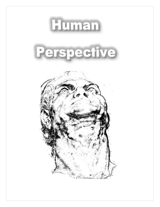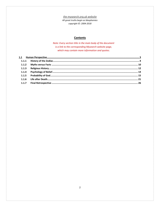the mysearch.org.uk website

All great truths begin as blasphemies copyright ©: 2004-2018

# **Contents**

Note: Every section title in the main body of the document is a link to the corresponding Mysearch website page, which may contain more information and quotes.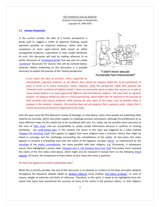### <span id="page-2-0"></span>**1.1** *[Human Perspective](http://www.mysearch.org.uk/website2/html/246.Beliefs.html)*

In the current context, the idea of a human perspective is being used to suggest a mode of objective thinking, based wherever possible on empirical evidence, rather than the acceptance of some super-natural deity based on either unsupported scriptures, superstition or even simple falsehood. As such, this discussion will start by making reference to an earlier discussion of '*[theological belief'](http://www.mysearch.org.uk/website1/html/49.Theology.html)* that was part of a wider '*[worldview](http://www.mysearch.org.uk/website1/html/5.Worldviews.html)*' discussion for reasons that will be outlined below. However, before embarking on this discussion, it is possibly necessary to explain the premise of the '*human perspective'*.



"I didn't know secular humanists had missionaries!"

*If you reject the idea of miracles, unless supported by* 

*extraordinary empirical evidence, as yet absent, then almost all religious belief has to be questioned, at least, in terms of its many miraculous events. However, while this perspective might also question the 'historical truth' of almost all religious belief, it does not necessarily reject or attack the reasons as to why so many people believe in so many apparently different and contradictory religions. This said, from an agnostic position, all religious beliefs are open to critical questioning, which might then be rejected on the grounds of both scientific and historic evidence, while leaving the door open to the larger issue of whether there is purpose in the universe. However, this position does not pre-suppose that a purpose exists, simply that it cannot necessarily be proved or disproved at this stage.*

Over the years since the first Mysearch review of theology, as cited above, many more people are publishing video material via YouTube, which may either support or challenge previous conclusions, although the proliferation of so many different views via this media has to be considered with care. For, today, we are possibly more conscious of the issue of '*[fake news'](https://en.wikipedia.org/wiki/Fake_news)* and our susceptibility to simply accept information because it confirms an existing worldview - see *[confirmation bias](https://en.wikipedia.org/wiki/Confirmation_bias)*. In this context, the return to this topic was triggered by a video entitled '*[Religion-The Shocking](https://www.youtube.com/watch?v=Pj9QYWlX2QA) Truth'* that appear to suggest that many religions have a common history that might be linked to astrology and the mythology surrounding the constellations of the zodiac. At face-value, this video appears to forward a compelling story that the myths of the Egyptian sun-god '*[Horus](https://en.wikipedia.org/wiki/Horus)*', as underpinned by the *[astrology](https://en.wikipedia.org/wiki/Astrology)* of the *[zodiac constellations](https://en.wikipedia.org/wiki/Zodiac)*, has many parallels with later religions, e.g. Christianity. A subsequent search, then highlighted a similar video '*[Zeitgeist Part 1: The Greatest Story Ever Told'](https://www.youtube.com/watch?v=xt-qYDb7UcI)* that pretty much repeated the claims of the first video cited above, which might also be reviewed in textual form via the following *[linked](https://xrystiann.wordpress.com/tag/cross-of-the-zodiac/)  [website](https://xrystiann.wordpress.com/tag/cross-of-the-zodiac/)*. Of course, the acceptance of these videos at face-value also raises a question:

### *Do they only appeal to a certain confirmation bias?*

While this is entirely possible, the rest of this discussion is an attempt to conform to the basic principles adopted throughout the Mysearch website based on *[William Clifford's](http://www.mysearch.org.uk/website1/html/34.Clifford.html)* essay entitled '*[The Ethics of Belief'](http://www.mysearch.org.uk/website1/html/64.Ethics.html)*, i.e. duty of inquiry, weight of authority and limits of inference. Therefore, in this spirit, it needs to be highlighted from the outset that many have questioned the accuracy of many of the claims in the previous videos, i.e. that religious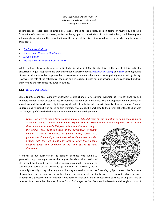beliefs can be traced back to astrological events linked to the zodiac, both in terms of mythology and as a foundation of astronomy. However, while also being open to the criticism of confirmation bias, the following four videos might provide another introduction of the scope of the discussion to follow for those who may be new to this debate.

- *[The Mythicist Position](https://www.youtube.com/watch?v=63BNKhGAVRQ)*
- *[Osiris: Pagan Origins of Christianity](https://www.youtube.com/watch?v=YZmvBzBpt14)*
- *[Jesus is a myth](https://www.youtube.com/watch?v=3Mx3un_AzZI)*
- *[Are the New Testament gospels history?](https://www.youtube.com/watch?v=rsaRQDxmLqY)*

While the links above might appear particularly biased against Christianity, it is not the intent of this particular discussion as equal scepticism has previously been expressed about *[Judaism](http://www.mysearch.org.uk/website1/html/55.Judaism.html)*, *[Christianity](http://www.mysearch.org.uk/website1/html/56.Christianity.html)* and *[Islam](http://www.mysearch.org.uk/website1/html/62.Islam.html)* on the grounds of miracles that cannot be supported by known science or events that cannot be empirically supported by history. However, the role of the astrological zodiac in earlier religious beliefs has not previously been considered and will therefore be the first issues reviewed in outline.

### <span id="page-3-0"></span>**1.1.1** *[History of the Zodiac](http://www.mysearch.org.uk/website2/html/247.Zodiac.html)*

Some 10,000 years ago, humanity underwent a step-change in its cultural evolution as it transitioned from a nomadic hunter-gather existence into settlements founded on agriculture. This development would eventually spread around the world and might help explain why, in a historical context, there is often a common *'theme*' underpinning religious belief based on Sun worship, which might be anchored to the primal belief that the Sun was the *'bringer of life'* on which the agricultural revolution was so dependent.

*Note: If we were to pick a fairly arbitrary figure of 100,000 years for the migration of homo-sapiens out of Africa and equate a human generation to 20 years, then 5,000 generations of humanity have existed in that* 

*time. In comparison, only 500 generations would have existing in the 10,000 years since the start of the agricultural revolution alluded to above. Therefore, in general terms, some 4,500 generations of humanity existed even before the earliest recorded history, such that we might only surmise what these people believed about the 'meaning of life' and passed to their descendants.*

If we try to put ourselves in the position of those who lived 500 generations ago, we might realise that any stories about the creation of life passed to them by even earlier generations might naturally be considered in terms of the '*bringer of life'*, i.e. the Sun. Of course, today,



most might readily accept that anybody directing a question about the '*meaning of life'* towards the Sun, as a physical body in the solar system rather than as a deity, would probably not have received a direct answer, although this probably did not exclude some form of answer of being constructed by those asking this sort of question. It is known that the idea of some form of a Sun-god, or Sun Goddess, has been found throughout most of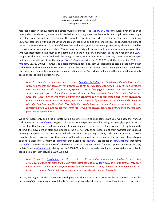recorded history in various forms and across multiple cultures – see '*[List of Sun God](https://en.wikipedia.org/wiki/List_of_solar_deities)s'*. Of course, given the span of time under consideration, some care is needed in separating what may have only been myth from what might have had some factual basis in history. This may be especially true when considering the many conflicting *'histories'* associated with ancient Egypt and its many religious deities and semi-deities. For example, the story of '*[Horus](https://en.wikipedia.org/wiki/Horus)*' is often considered to be one of the earliest and most significant ancient Egyptian Sun-gods, which could be a merging of history and myth, where '*Horu*s' may have originally been based on a real person, a pharaoh-king, who was later merged into myth as the name given to the rising sun, along with *['Ra'](https://en.wikipedia.org/wiki/Ra)* as the noon sun and *[Osiris](https://en.wikipedia.org/wiki/Osiris)*, the god of the dead, associated with the dying or setting sun. In one form or another, these types of sun-god deities were worshipped from the late *[prehistoric-Egyptian](https://en.wikipedia.org/wiki/Prehistoric_Egypt)* period, i.e. 3100 BCE, until the time of the *[Ptolemaic](https://en.wikipedia.org/wiki/Ptolemaic_Kingdom)  [Kingdom](https://en.wikipedia.org/wiki/Ptolemaic_Kingdom)*, i.e. 323-30 BCE. However, as a basic premise, it does not seem unreasonable to assume that many other earlier cultures developed myths surrounding deities that lived in the heavens, which we might now assumed to be allegories based on anthropomorphic characterisations of the Sun, Moon and stars, although possibly originally based on real people in earlier history.

*Note: Over a period of many thousands of years, [Egyptian civilization](https://en.wikipedia.org/wiki/Ancient_Egypt) developed along the Nile River, which supported the rich soil necessary for growing crops for an expanding population. However, the Egyptians also kept written records using a writing system known as hieroglyphics, which have been preserved on stone, clay and papyrus, although few papyrus documents have survived. From this recorded history, we know that Egypt was an important political and economic power at that time based on its agricultural production and other economic resources, which was supported by wide-reaching trade networks along the Nile, the Red Sea and Near East. This civilisation would have had a complex social structure ruled by successive divine God-king dynasties in which the Horus myth possibly developed over a period of some 3000 years, i.e. 150 generations.* 

While not necessarily being too accurate with a timeline stretching back some 3000 BCE, we know that various civilisations in the '*[Middle-](https://en.wikipedia.org/wiki/Middle_East)East'* region had started to emerge that were becoming increasingly sophisticated in terms of written language and mathematics. As a consequence, these early civilisations started to systematically observe the movement of stars and planets in the sky, not only as an extension of their mythical stories about heavenly Sun-gods, but also because it helped them track the passing seasons, such that the planting of crops could be planned. However, over time, a body of knowledge about the movement of the stars and planets began to be formalised into a system of *'[astrology](https://en.wikipedia.org/wiki/Astrology)'* that divided the '*[heavens'](https://en.wikipedia.org/wiki/Heaven)* into groups of '*[constellations](https://en.wikipedia.org/wiki/Constellation)*' that forms the '*[zodiac](https://en.wikipedia.org/wiki/Zodiac)*'. The earliest evidence of a developing constellation map comes from inscriptions on stones and clay tablets found in *[Mesopotamia](https://en.wikipedia.org/wiki/Mesopotamia)*, dating back to 3000 BCE, although the wider naming of the constellations probably took place much later between 1300-1000 BCE.

*Note: Today, the [Babylonians](https://en.wikipedia.org/wiki/Babylonia) are often credited with the initial development of what is now called astrology, although for more than 2,000 years, astrology and [astronomy](https://en.wikipedia.org/wiki/Astronomy) were the same science. However, while the word 'zodiac' is derived from the Greek word meaning 'circle of animals' its development can also be traced to ancient Egypt that was subsequently developed further by the Babylonians.* 

In part, we might consider the earliest development of the zodiac as a response to the big question about the '*meaning of life'*, which might have initially focused religious belief skywards to the various Sun-gods of antiquity.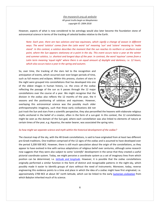However, aspects of what is now considered to be astrology would also later become the foundation stone of astronomical science in terms of the tracking of celestial bodies relative to the Earth.

*Note: Each year, there are two solstices and two equinoxes, which signify a change of season in different*  ways. The word 'solstice' comes from the Latin word 'sol' meaning 'sun' and 'sistere' meaning to 'make *stand'. In this context, a solstice describes the moment that the sun reaches its northern or southern-most point, where the Sun appears stationary at a point in the sky. This event occurs twice a year at the winter and summer solstice, i.e. shortest and longest days of the year. In contrast, the word 'equinox' comes from a Latin term meaning 'equal night' where there is an equal amount of daylight and darkness, i.e. 12 hours, which also occurs twice a year in the spring and autumn.*

So, over time, the tracking of the stars led to the recognition and anticipation of events, which occurred over ever-longer periods of time, such as full moons and eclipses. Within this process, clusters of stars in the night were grouped into constellations that has developed into one of the oldest images in human history, i.e. the cross of the zodiac reflecting the passage of the sun as it passes through the 12 major constellations over the course of a year. We might recognise that the division in the zodiac also reflects the 12 months of the year, the 4 seasons and the positioning of solstices and equinoxes. However, overlaying this astronomical science was the possibly much older anthropomorphic imaginary, such that these early civilizations did not



just track the Sun and stars from a scientific perspective, they also personified the heavens with elaborate religious myths anchored in the belief of a creator, often in the form of a sun-god. In this context, the 12 constellations might be seen as the domain of the Sun-god, where each constellation was also linked to elements of nature at certain times of the year, e.g. Aquarius, the water bearer, was associated the spring rains.

### *So how might we separate science and myth within the historical development of the zodiac?*

The classical map of the sky, with the 48 Greek constellations, is said to have originated from at least two different pre-Greek traditions. One tradition comprised of the 12 signs of the zodiac and is assumed to have developed over the period 3,200-500 BCE. However, there is still much speculation about the origin of the constellations, as they appear to have evolved in-line with various adaptations of religious belief over centuries, although some research now suggests that they were also subject to some '*scientific*' development in the sense that they created a useful pictorial coordinate system. Today, we might perceive a coordinate system as a set of imaginary lines from which position can be determined, i.e. *[latitude and longitude](https://en.wikipedia.org/wiki/Geographic_coordinate_system)*. However, it is possible that the zodiac constellations originally performed a similar function in the form of distinct and recognisable patterns in the night-sky, which possibly made it easier to identify groups of stars without the need of instruments. Moreover, today, reverse engineering this evidence points to a time and place in which the idea of a zodiac might have first originated, i.e. approximately 2700 BCE at about 36° north latitude, which can be linked to the early *Sumerian [civilization](https://en.wikipedia.org/wiki/Sumer)* from which Babylon inherited much of its science.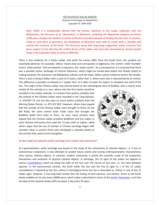*Note: While it is traditionally claimed that the earliest reference to the zodiac originates with the Babylonians, the discovery of an 'observatory' in Metsamor, predating the Babylonian kingdom by almost 2,000 years changes the timeline of events of the first recorded example of dividing the year into 12 sections. Using an early form of geometry, the inhabitants of Metsamor were able to create both a calendar and surmise the curvature of the Earth. This discovery along with engravings suggesting 'zodiac creatures' has given support to the idea that the earliest forms of the zodiac may have been developed by ancient people living in the Euphrates valley as early as 4000 BCE.* 

There is also evidence for a Hindu zodiac, and while the names differ from the Greek form, the symbols are essentially identical. For example, *'dhanu'* means bow and corresponds to Sagittarius, the '*archer*', while '*kumbha'* means '*water-pitcher'* and corresponds to Aquarius, the '*water-carrier'*. As a consequence, it is assumed that there was a possible earlier exchange of cultural influences, which might be traced back before the Greeks linked to trading between the Sumerian and Babylonian cultures and the Indus Valley Culture millennia before the Greeks. There is also a Chinese Zodiac with a cycle of 12 years, rather than 1, where each year is represented by an animal. This difference is possibly correlated to a '*Jupiter Year'* as it takes 12 years for Jupiter to complete one orbit of the Sun. The origin of the Chinese zodiac may also be based on the mythological story of Buddha, who is said to have

invited all the animals to a race, where only the first twelve would be included in the Zodiac calendar. It is known from pottery artefacts that the animals of the Chinese zodiac were recorded in the Tang Dynasty, i.e. 618-907 CE, but are also seen on much earlier artefacts from the Warring States Period, i.e. 475-221 BCE. However, others have argued that the animals of the Chinese zodiac were brought to China via the Silk Road, the same central Asian trade route that brought the Buddhist belief from India to China. As such, some scholars have argued that the Chinese zodiac predates Buddhism and has origins in early Chinese astronomy that used the 12-year orbit of Jupiter, while others argue that the use of animals in Chinese astrology began with nomadic tribes in ancient China who developed a calendar based on the animals they used to hunt and gather.



### *So how might we separate earlier astrology from modern-day astronomy?*

As a generalisation, while astrology was based on the study of the movements of celestial objects, i.e. it has an astronomical component, it also attempts to predict future events and overlay anthropomorphic characteristics onto various celestial objects. In contrast, modern astronomy is purely the scientific study of the properties, interactions and evolution of physical celestial objects. In astrology, the 12 signs of the zodiac are aligned to various *[constellations](https://en.wikipedia.org/wiki/Constellation)* which lay along the path of the Sun over the course of one year, i.e. the time between equinox. In the astronomical context, the Earth orbits the Sun and the line of sight to 1 of the 12 zodiac constellations is blocked by the Sun, where in astrological terms the Sun is described as *'sitting'* in one of the 12 zodiac signs. However, it has long been known that the timing of each equinox, and solstice, varies as the Earth slowly wobbles on its axis every 26000 years, which today is described in terms of the *[Earth's Pre](https://en.wikipedia.org/wiki/Precession)cession*, such that the date of the equinox slowly shifts by about 1 day every 70 years.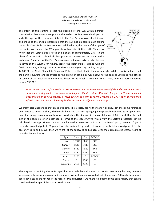The effect of this shifting is that the position of the Sun within different constellations has slowly change since the earliest zodiacs were developed. As such, the ages of the zodiac are linked to the Earth's precession about its axis and linked to the original perception that the Sun had an ecliptic path around the Earth. If we divide the 360 $^{\circ}$  rotation path by the 12, then each of the signs of the zodiac corresponds to 30° segments within this elliptical path. Today, we know that the Earth's axis is tilted at an angle of approximately 23.5° to the plane of this ecliptic path, which then produces the seasonal variations within each year. The effect of the Earth's precession on its own axis can also be seen in terms of the '*North Star'* where, today, the North Pole is aligned with the fixed star Polaris, although this was not the case 3,000 years ago and by the year



14,000 CE, the North Star will be Vega, not Polaris, as illustrated in the diagram right. While there is evidence that the Earth's *'wobble*' and its effects on the timing of equinoxes was known to the ancient Egyptians, the official discovery of this mechanism is often attributed to the Greek astronomer, Hipparchus, who was born sometime around 190 BCE.

*Note: In the context of the Zodiac, it was observed that the Sun appears in a slightly earlier position at each subsequent spring equinox, when measured against the fixed stars. Although, 1 day every 70 years may not appear to be an obvious change, it would amount to a shift of nearly 1 month, i.e. 28.57 days, over a period of 2000 years and would ultimately lead to variations in different Zodiac maps.* 

We might also understand that an ecliptic path, like a circle, has neither a start or end, such that some reference point needs to be established, which might be traced back to a spring equinox possibly over 2000 years ago. At this time, the spring equinox would have occurred when the Sun was in the constellation of Aries, such that the first sign of the zodiac is often described in terms of the '*age of Aries'* which from the Earth's precession can be calculated. If we approximate the total time for Earth's precession on its axis to be 26,000 years, then each '*age*' of the zodiac would align to 2160 years. If we also make a fairly crude but not necessarily ridiculous alignment for the age of Aries to end in 0CE, then we might list the following zodiac ages over the approximated 10,000 years of recorded human history.

| Age           | Start | End  | BCE/CE        |
|---------------|-------|------|---------------|
| Leo           | 10800 | 8640 | <b>BCE</b>    |
| Cancer        | 8640  | 6480 | <b>BCE</b>    |
| Gemini        | 6480  | 4320 | <b>BCE</b>    |
| <b>Taurus</b> | 4320  | 2160 | <b>BCE</b>    |
| Aries         | 2160  | 0    | <b>BCE-CE</b> |
| <b>Pisces</b> | ი     | 2160 | СE            |
| Aquarius      | 2160  | 4320 | СE            |

The purpose of outlining the zodiac ages does not really have that much to do with astronomy but may be more significant in terms of astrology and the more mythical stories associated with these ages. Although these more speculative issues are not really the focus of this discussions, we might still outline some basic history that can be correlated to the ages of the zodiac listed above.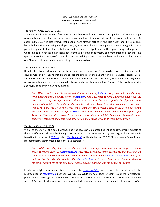### *The Age of Taurus: 4320-2160 BCE*

While there is little in the way of recorded history that extends much beyond this age, i.e. 4320 BCE, we might reasonably speculate that agriculture was being developed in many regions of the world by this time. By about 3500 BCE, it is also known that people were already settled in the Nile valley and, by 3100 BCE, hieroglyphic scripts was being developed and, by 2700 BCE, the first stone pyramids were being built. These pyramids appear to have both astrological and astronomical significance in their positioning and alignment, which might also reflect a significant development in terms of geometry and mathematics in general. The span of time within the age of Taurus also saw the building of wall cities in Babylon and Sumeria plus the rise of a Chinese civilisation and others possibly too numerous to detail.

### *The Age of Aries: 2160-0 BCE*

Despite the obvious development in the previous age, the age of Aries possibly saw the first large-scale development of civilisations that expanded into the empires of the ancient world, i.e. Chinese, Persian, Greek and finally Roman. Each of these civilizations sought more land and territory by conquering the indigenous peoples of other lands as they expanded outward, such that they would have '*exported*' their cultural stories and myths to an ever-widening population.

*Note: While care in needed in assuming that biblical stories of [Judaism](http://www.mysearch.org.uk/website1/html/55.Judaism.html) always equate to actual history, we might highlight the biblical history of [Abraham,](https://en.wikipedia.org/wiki/Abraham#Historicity) who is assumed to have lived around 2000 BCE, i.e. near the start of the age of Aries. Abraham would later become a patriarchal figure in three monotheistic religions, i.e. Judaism, Christianity, and Islam. While it is often assumed that Abraham was born in the city of Ur in Mesopotamia, there are considerable discrepancies in the timeframe indicated above, as with the life of [Moses,](https://en.wikipedia.org/wiki/Moses#Historicity) who is assumed to have lived some 500 years after Abraham. However, at this point, the main purpose of citing these biblical characters is to position the earliest development of monotheistic belief within the historic timeline of other developments.* 

### *The Age of Pisces: 0-2160 CE*

While, at the start of this age, humanity had not necessarily embraced scientific enlightenment, aspects of the scientific method were beginning to separate astrology from astronomy. We might characterise this transition in the work of *[Ptolemy](https://en.wikipedia.org/wiki/Ptolemy)* called '*[The Almagest'](https://en.wikipedia.org/wiki/Almagest)* written between 100-170 CE, who was a Greco-Roman mathematician, astronomer, geographer and astrologer.

*Note: While accepting that the timeline for each zodiac age cited above can be subject to many different assumptions – see [Astrological Ages](https://en.wikipedia.org/wiki/Astrological_age) for more details, we might possibly see that there may be some inferred alignment between BC and BCE with AD and CE and th[e biblical story of Jesus.](http://www.mysearch.org.uk/website1/html/57.Overview.html) One of the main symbols in earlier Christianity is the* '*sign [of the fish'](https://en.wikipedia.org/wiki/Ichthys), which some have argued is intended to link the birth of Jesus birth to the new age of Pisces, which in astrology has the symbol of two fish.*

Finally, we might make some historic reference to *[Islamic religion](http://www.mysearch.org.uk/website1/html/62.Islam.html)*, which might be traced back to the recorded life of *[Muhammad](https://en.wikipedia.org/wiki/Muhammad)* between 570-632 CE. While many aspects of Islam reject the mythological predictions of astrology, it still embraced those aspects based on the science of astronomy and the earlier work of Ptolemy. In this context, Islam also needed to study the heavens as nomadic-desert tribes often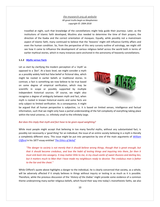travelled at night, such that knowledge of the constellations might help guide their journeys. Later, as the institutions of Islamic faith developed, Muslims also needed to determine the time of their prayers, the direction of the Kaaba and the correct orientation of mosques. Equally, while possibly not a mainstream aspect of Islamic faith, many continued to believe that the '*heavens*' might still influence Earthly affairs and even the human condition. So, from the perspective of this very cursory outline of astrology, we might still see how it came to influence the development of various religious belief across the world both in terms of earlier mythical stories, which in many instances were anchored in the astronomy of heavenly constellations.

### <span id="page-9-0"></span>**1.1.2** *Myths [versus Facts](http://www.mysearch.org.uk/website2/html/248.Myths.html)*

Let us start by clarifying the modern perception of a '*myth'* as opposed to a *'fact'*. At a basic level, we might consider a myth as a possibly widely held but false belief or fictional idea, which might be rooted in earlier beliefs or traditional stories. In contrast, a fact is something we now believe to be true based on some degree of empirical verification, which may be scientific in scope or possibly supported by multiple independent historical sources. Of course, we might also recognise a degree of ambiguity between myth and fact, when myth is rooted in known historical events and some facts are only subject to limited verification. As a consequence, it might



be argued that all human perspective is subjective, i.e. it is based on limited senses, intelligence and factual information, such that we might only have a partial understanding of the full complexity of everything taking place within the total universe, i.e. infinitely small to the infinitely large.

### *But does this imply that myth and fact have to be given equal weighting?*

While most people might accept that believing in too many fanciful myths, without any substantiated fact, is possibly not necessarily a '*good thing'* for an individual, the issue of an entire society believing in a myth is literally a completely different story. This issue might be put into perspective by one of the main arguments of *[William](https://en.wikipedia.org/wiki/William_Kingdon_Clifford)  [Clifford](https://en.wikipedia.org/wiki/William_Kingdon_Clifford)* in his 1877 essay entitled '*[The Ethics of Belief'](https://en.wikipedia.org/wiki/Ethics_of_belief)*

*"The danger to society is not merely that it should believe wrong things, though that is great enough; but that it should become credulous, and lose the habit of testing things and inquiring into them, for then it must sink back into savagery. It may matter little to me, in my cloud-castle of sweet illusions and darling lies; but it matters much to Man that I have made my neighbours ready to deceive. The credulous man is father to the liar and the cheat."*

While Clifford's quote above highlights a danger to the individual, he is clearly concerned that society, as a whole, will be adversely affected if it simply believes in things without inquiry or testing in as much as it is possible. Therefore, while the previous discussion of the '*History of the Zodiac'* might provide some evidence of a common theme underpinning many earlier religious beliefs, which found their way into today's monotheistic faiths, we also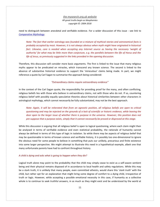need to distinguish between anecdotal and verifiable evidence. For a wider discussion of this issue - see link to *[Comparative Mythology](https://en.wikipedia.org/wiki/Comparative_mythology)*.

*Note: The fact that earlier astrology was founded on a mixture of mythical stories and astronomical facts is probably accepted by most. However, it is not always obvious when myth might have originated in historical fact. Likewise, care is needed when accepting any Internet source as having the necessary 'weight of authority' for what may be little more than conjecture, e.g. the parallels between the life of Horus and the life of Jesus, as previously suggested in the links provided in the opening discussion.*

Therefore, this discussion will consider more basic arguments. The first is linked to the issue that many religious myths appear to be predicated on miracles, which transcend any known science. The second is linked to the absence of substantive historical evidence to support the '*miraculous*' claims being made. In part, we might reference a quote by Carl Sagan to summarise the approach being considered:

### *"Extraordinary claims require extraordinary evidence"*

In the context of the Carl Sagan quote, the responsibility for providing proof for the many, and often conflicting, religious beliefs lies with those who believe in extraordinary claims, not with those who do not. If so, countering religious belief with possibly equally speculative theories about historical similarities between other characters in astrological mythology, which cannot necessarily be fully substantiated, may not be the best approach.

*Note: Again, it will be reiterated that from an agnostic position, all religious beliefs are open to critical questioning and may be rejected on the grounds of a lack of scientific or historic evidence, while leaving the door open to the larger issue of whether there is purpose in the universe. However, this position does not pre-suppose that a purpose exists, simply that it cannot necessarily be proved or disproved at this stage.*

While this discussion is arguing that all religious belief is open to logical questioning, where each claim might then be analysed in terms of verifiable evidence and even statistical probability, the rationale of humanity cannot always be defined in terms of this type of logic in isolation. So while there may be aspects of religious belief that may be questionable in terms of known science and verifiable history, it is possibly too one-dimensional to ignore the obvious need for some people to believe in something that puts our unlikely, precarious and finite existence into some larger perspective. We might attempt to illustrate this need in a hypothetical example, albeit one that many unfortunate parents have had to confront throughout history.

### *A child is dying and asks what is going to happen when they die?*

Logical truth alone may point to the probability that the child may simply cease to exist as a self-aware sentient being and their physical remains disposed of in accordance to local health and safety regulations. While this may be a stark truth, it is unlikely that many people, even committed atheists, would share this '*stark truth'* with the child, but rather opt for an explanation that might bring some degree of comfort to a dying child, irrespective of truth or logic. However, while accepting a possible emotional necessity in this case, if humanity as a collective whole is to continue to seek truthful answers, in as much as they might exist and be understood by the world at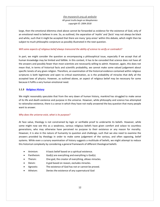large, then the emotional dilemma cited above cannot be forwarded as evidence for the existence of God, only of an emotional need to believe in one. So, as outlined, the separation of '*myths*' and '*facts*' may not always be black and white, such that it might be accepted that there are many '*grey areas'* within this debate, which might then be subject to much philosophic conjecture as possibly illustrated in the next question.

### *Will some aspects of religious belief always transcend the ability of science to verify or contradict?*

In part, we might consider the question as encompassing a philosophical issue, especially if we accept that all human knowledge may be limited and fallible. In this context, it has to be conceded that science does not have all the answers and possibly fewer than most scientists are necessarily willing to admit. However, again, this does not mean that, in terms of historical facts and scientific probability, we cannot make some valued judgement about specific tenets of any given religion. Therefore, an examination of the historical evidence contained within religious scriptures is both legitimate and open to critical examination, as is the probability of miracles that defy all the accepted laws of physics. However, as outlined above, an aspect of religious belief may be necessary for some because it fulfils a very human emotional need.

### <span id="page-11-0"></span>**1.1.3** *[Religious History](http://www.mysearch.org.uk/website2/html/249.History.html)*

We might reasonably speculate that from the very dawn of human history, mankind has struggled to make sense of its life and death existence and purpose in the universe. However, while philosophy and science has attempted to rationalise existence, there is a sense in which they have not really answered the key question that many people want to answer.

### *Why does the universe exist, what is its purpose?*

At face value, theology is not constrained by logic or verifiable proof to underwrite its beliefs. However, while some might now see this as a weakness, various religious beliefs have given comfort and solace to countless generations, who may otherwise have perceived no purpose to their existence or any reason for morality. However, it is also in the nature of humanity to question and challenge, such that we also need to examine the answers provided by theology in order to make some judgement of the various, and often opposing, belief systems. While even a cursory examination of history suggests a multitude of beliefs, we might attempt to reduce this historical complexity by considering a general framework of different theological beliefs:

- Animism: A basic belief based on a spiritual existence.
- Pantheism: God(s) are everything and everything is God(s).
- Theism: One god, the creator of everything, allows miracles.
- Deism: A god based on reason, excludes miracles.
- Agnostic: The existence of God has not or cannot be proved.
- Atheism: Denies the existence of any supernatural God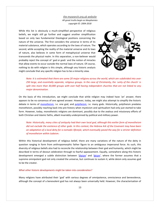While this list is obviously a much-simplified perspective of religious beliefs, we might still go further and suggest another simplification based on only two fundamental theological positions concerning the nature of the universe. The first considers the universe in terms of its material substance, which operates according to the laws of nature. The second, while accepting the reality of the material universe and its laws of nature, also believes in some form of metaphysical universe that transcends the physical realm. In this separation, a non-believer would probably reject the concept of `*god or gods*` and the notion of miracles that allow events to occur outside the normal laws of nature. Of course, nothing to do with religion is this simple, although any historic analysis might conclude that any specific religion has to be a minority view.



*Note: It is estimated that there are some 20 major religions across the world, which are subdivided into over 250 large, and essentially separate, religious groups. In the case of Christianity, the `unity of the church` is split into more than 30,000 groups with over half having independent churches that are not linked to any major denomination.*

On the basis of this introduction, we might conclude that while religion may indeed have 'an' answer, there appears to be no consensus of one agreed answer. However, today, we might also attempt to simplify the historic debate in terms of *[monotheism](https://en.wikipedia.org/wiki/Monotheism)*, i.e. one god, and *[polytheism](https://en.wikipedia.org/wiki/Polytheism)*, i.e. many gods. Historically, polytheism predates monotheism, possibly reaching back into pre-history when mysticism and spiritualism had only just started to take form. However, today, monotheistic religions are dominant, possibly due to the zealous and missionary efforts of both Christian and Islamic faiths, albeit invariably underpinned by political and military power.

*Note: Historically, many cities of antiquity had their own local god, although this earlier form of monotheism did not exclude the existence of other gods. In this context, the Hebrew Ark of the Covenant may have been an adaptation of a local deity for a nomadic lifestyle, which eventually paved the way for a stricter definition of monotheism within Judaism.*

Within this historical development of religious belief, there are many variations of the nature of the deity in question ranging in form from anthropomorphic father figure to an ambiguous impersonal force. As such, this diversity of religious beliefs also had to reconcile the relationship between their god and humanity, which might be described in terms of devout celebration through to fearful appeasement. Equally, somewhere along this historic development emerged a subtle distinction between *'[theism](https://en.wikipedia.org/wiki/Theism)'* and *'[deism](https://en.wikipedia.org/wiki/Deism)'*, where the former assumes that a supreme omnipotent god not only created the universe, but continues to sustain it, while deism only assumes god to be the creator.

#### *What other historic developments might be taken into consideration?*

Many religions have attributed their 'god' with various degrees of omnipotence, omniscience and benevolence, although the concept of a benevolent god has not always been universally held. However, the characterisation of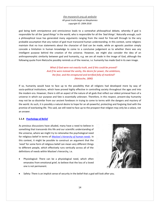god being both omnipotence and omniscience leads to a somewhat philosophical debate, whereby if god is responsible for all the '*good things'* in the world, who is responsible for all the *'bad things'*. Naturally enough, such a philosophical issue has generated many arguments ranging from the need for free-will through to the very probable assumption that any notion of god must transcend human understanding. In this context, some religions maintain that no true statements about the character of God can be made, while an agnostic position simply concede a limitation in human knowledge to come to a conclusive judgement as to whether there was any intelligent purpose behind the creation of the universe. However, we might also consider the idea of an anthropomorphic similarity between god and humanity, e.g. we are all made in the image of God, although the following quote from Nietzsche possibly reminds us of the reverse, i.e. humanity has made God in its own image.

> *What if God were not exactly truth, and if this could be proved? And if he were instead the vanity, the desire for power, the ambitions, the fear, and the enraptured and terrified folly of mankind? (Nietzsche, 1890)*

If so, humanity would have to face up to the possibility that all religions had developed more by way of socio-political institutions, which have proved highly effective in controlling society throughout the ages and into the modern era. However, there is still an aspect of the nature of all gods that reflect our oldest primeval fears of a universe in which our purpose and fate is essentially unknown. Therefore, in this respect, present-day humanity may not be so dissimilar from our ancient forebears in trying to come to terms with the dangers and mystery of the world. As such, it is possibly a natural desire to hope for an all-powerful, protecting and forgiving God with the promise of everlasting life. This said, we still need to face up to the prospect that religion may only be a solace, not an answer.

### <span id="page-13-0"></span>**1.1.4** *[Psychology of Belief](http://www.mysearch.org.uk/website2/html/250.Psychology.html)*

As previous discussions have alluded, many have a need to believe in something that transcends this life and our scientific understanding of the universe, where we might try to rationalise the psychological need for religious belief in terms of *[Maslow's hierarchy of human need](http://www.mysearch.org.uk/website1/html/8.Evolution.html#Human_Needs)s*. In this context, it might be possible to construct an argument that the *'need'* for some form of religious belief can mean very different things to different people, which effectively runs vertically across all of the definitions of needs within Maslow's hierarchy, i.e.

Physiological: There can be a physiological need, which often emanates from emotional grief, to believe that the loss of a loved one is not permanent.



Safety: There is an implicit sense of security in the belief that a god will look after you.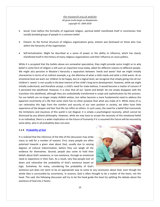- Social: Even before the formality of organised religion, spiritual belief manifested itself in ceremonies that socially bonded groups of people in a common belief.
- Esteem: As the formal structure of religious organisations grew, esteem was bestowed on those who rose within the hierarchy of the organisation.
- Self-Actualisation: Might be described as a sense of power or the ability to influence, which has clearly manifested itself in the history of many religious organisations and their influence on socio-politics.

While it is accepted that the bullets above are somewhat speculative, they might provide some insight as to why belief in some form of religion is still such an important issue today, albeit for different reasons to different people. We might also perceive in Maslow's hierarchy a separation between '*needs and wants'* that we might initially characterise in terms of an indirect example, e.g. the dilemma of what a child needs and what a child wants. At an emotional level we want our children to be happy, but at a logical level, we recognise that simply giving into all our children's '*wants*' is not usually in the best interest of the child's long-term development. However, while we might initially understand, and therefore accept, a child's need for make-believe, it would become a matter of concern if it persisted into adulthood. However, it is clear that all our '*wants and beliefs'* do not simply disappear with the transition into adulthood, although they are undoubtedly transformed in scope and sophistication by this process. For our beliefs are no longer simply childish wishes, but rather become a more fundamental need to address the apparent uncertainty of a life that some claim has no other purpose than what you make of it. While many of us can rationalise this logic from the comfort and security of our own position in society, we often have little experience of the despair and fear that life can inflict on others. In such cases, the need for a belief that transcends the limitations and injustices of this world is not illogical; it is simply a psychological necessity, which cannot be dismissed by any atheist philosophy. However, while we may have to accept the necessity of this emotional belief in an individual, there is a wider implication on the future of humanity if it is assumed this future will be secured by some deity, who in all probability does not exist.

### <span id="page-14-0"></span>**1.1.5** *[Probability of God](http://www.mysearch.org.uk/website2/html/251.Probability.html)*

It is realised that the inference of the title of this discussion may strike many as odd for a number of reasons. First, many people are often polarised towards a given view about God, usually due to varying degrees of cultural indoctrination, before they can weigh all the evidence for themselves. Second, people also come to hold their beliefs about God's existence, or non-existence, through an emotional need or experience in their lives. As a result, very few people ever sit down and rationalise the probability of God's existence based on logic. Somehow, for many, considering the probability of God's



existence just does not seem to be an appropriate way to come to any conclusion about God, even though the whole idea is surrounded by uncertainty. In essence, God is often thought to be a matter of the heart, not the head. This said, the following discussion will try to let the head guide the heart by splitting the debate about the existence of God into 2 facets: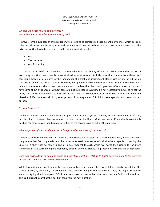### *What is the evidence for God's existence? And if God does exist, what is the nature of God?*

However, for the purposes of this discussion, we are going to disregard all circumstantial evidence, which basically rules out all human myths, scriptures and the emotional need to believe in a God. For it would seem that the existence of God has to be considered in the widest context possible, i.e.

- Life
- The Universe
- And Everything

OK, the list is a cliché, but it serves as a reminder that the totality of any discussion about the creator of everything, e.g. God, cannot really be constrained by what amounts to little more than the unsubstantiated, and conflicting, beliefs of a minority of the inhabitants of a small and insignificant planet, circling one of 100 billion stars within one of 100 billion galaxies. However, this apparent wholesale dismissal of all religious evidence is not a denial of the reasons why so many people are led to believe that the cosmic grandeur of our universe could not have come about by chance or without some guiding intelligence. As such, it is not necessarily illogical to reject the *'belief'* of science, which seems to forward the idea that the complexity of our universe, with all the perceived diversity of life contained within it, emerged out of nothing some 13.7 billion years ago with no creator and no purpose.

### *So does God exist?*

We know that we cannot really answer this question directly in a yes-no manner, for it is often a matter of faith, but this does not mean that we cannot consider the probability of God's existence. If we simply accept this position for now, we can then turn our attention to the second issue by asking the question:

### *What might we infer about the nature of God from what we know of the universe?*

It needs to be clarified that this is essentially a philosophical discussion, not a mathematical one, which starts with the premise that God might exist and then tries to ascertain the nature of a God, who is capable of creating the universe. It then tries to follow a line of logical thought through which we might then return to the more fundamental issue surrounding the probability of God's actual existence. So, proceeding with this line of approach:

### *Does God exist outside of time and space and therefore questions relating to God's existence prior to the universe or how God came into existence are meaningless?*

While this statement might appear to sweep many key issues under the carpet, let us initially accept that the nature of God, by definition, transcends our finite understanding of the universe. As such, we might proceed by simply accepting that it was part of God's nature to want to create the universe and within God's ability to do so. This said, it is not clear that this position can avoid the next question: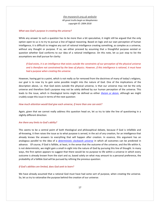#### *What was God's purpose in creating the universe?*

While any answer to such a question has to be more than a bit speculative, it might still be argued that the only option open to us is to try to pursue a line of logical reasoning. Based on logic and our own perception of human intelligence, it is difficult to imagine any sort of rational intelligence creating something, as complex as a universe, without any thought or purpose. If so, we either proceed by assuming that a thoughtful purpose existed or question whether God conforms to our idea of a rational intelligence. On this note, let us just stop to list the assumptions we shall pursue for clarity:

*If God exists, it is an intelligence that exists outside the constraints of our perception of the physical universe and is therefore not constrained by the laws of physics. However, if this intelligence is rational, it must have had a purpose when creating the universe.* 

However, having got to a point, which is not really so far removed from the doctrines of many of today's religions, our goal is to now try to gain some possible insight into the nature of God. One of the implications of the description above, i.e. that God exists outside the physical universe, is that our universe may not be the only universe and therefore God's purpose may not be solely defined by our human perception of the universe. This leads to the issue, which in theological terms might be defined as either *[theism or deism](http://www.mysearch.org.uk/website1/html/52.Scope.html)*, although we might crudely scope this issue in terms of the next question:

### *How much attention would God give each universe, if more than one can exist?*

Again, given that we cannot really address this question head on, let us try to take the line of questioning in a slightly different direction:

### *Are there any limits to God's ability?*

This seems to be a central point of both theological and philosophical debate, because if God is infallible and all-knowing, it then raises the issue as to what purpose is served, in the act of any creation, for an intelligence that already knows the answers to everything that will happen after creation. In essence, this argument has an analogous parallel to the idea of a *[deterministic clockwork universe](http://www.mysearch.org.uk/website1/html/186.Foundation.html#clockwork_universe)* in which all outcomes can be predicted in advance. Of course, if God is fallible, at least, in the sense that the outcome of the universe, and the life within it, is not deterministic, we might gain a small in-sight into the nature of God by pursuing this line of thought. In many ways, the first option appears to suggest that there would be no purpose to life within a universe in which every outcome is already known from the start and so, based solely on what may amount to a personal preference, the probability of a fallible God will be pursued by refining the previous question:

### *If God's abilities are limited, does God seek to learn?*

We have already assumed that a rational God must have had some sort of purpose, when creating the universe. So, let us try to rationalise the purpose behind the creation of our universe: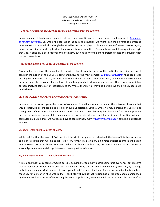### *If God has no peers, what might God seek to gain or learn from the universe?*

In mathematics, it has been recognised that even deterministic systems can generate what appears to *[be chaotic](https://en.wikipedia.org/wiki/Chaos_theory)  [or random outcomes](https://en.wikipedia.org/wiki/Chaos_theory)*. So, within the context of the current discussion, we might liken the universe to numerous deterministic systems, which although described by the laws of physics, ultimately yield unforeseen results. Again, before proceeding, let us keep track of the growing list of assumptions. Essentially, we are following a line of logic that God, if existing, is both rational and intelligent, but not all-knowing and therefore created the universe with the purpose to learn.

### *If so, what might this tell us about the nature of the universe?*

Given that we obviously threw caution to the wind, almost from the outset of this particular discussion, we might consider the notion of the universe being analogous to the most complex *[computer simulation](https://en.wikipedia.org/wiki/Simulation_hypothesis)* that could ever possibly be imagined, at least, by humanity. While this may seem a ridiculous idea, either the universe has no purpose, being the outcome of some form of quantum probability devoid of purpose and God's presence or it has purpose implying some sort of intelligent design. While either may, or may not, be true, we shall initially speculate on the latter:

### *So, if the universe has purpose, what is its purpose to its creator?*

In human terms, we recognise the power of computer simulations to teach us about the outcome of events that would otherwise be impossible to predict or even understand. Equally, while we may perceive the universe as having near infinite physical dimensions in both time and space, this may be illusionary from God's position outside the universe, where it becomes analogous to the virtual space and the arbitrary rate of time within a computer simulation. If so, we might also have to consider how many *'multi[verse simulations'](https://en.wikipedia.org/wiki/Multiverse)* could be in existence at once.

### *So, again, what might God seek to learn?*

While realising that the mind of God might not be within our grasp to understand, the issue of intelligence seems to be an attribute that we might still reflect on. Almost by definition, a universe subject to intelligent design implies some sort of intelligent awareness, where intelligence without any prospect of inquiry and expansion of knowledge would seem a fairly pointless and unimaginative existence.

### *So, what might God wish to learn from the universe?*

It is realised that this concept of God is possibly acquiring far too many anthropomorphic overtones, but it seems that all manner of religious belief proclaim to know the '*will of God'* or '*speak in the name of God'* and, by so doing, make inference about God's nature. It is recognised that for many, the idea of some sort of after-life is a solace, especially for a life often filled with sadness, but history shows us that religion has all too often been manipulated by the powerful as a means of controlling the wider populace. So, while we might wish to reject the notion of an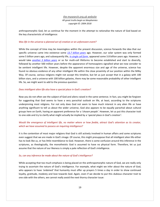# *[the mysearch.org.uk website](http://www.mysearch.org.uk/)*

*All great truths begin as blasphemies copyright ©: 2004-2018*

anthropomorphic God, let us continue for the moment in the attempt to rationalise the nature of God based on the key characteristic of intelligence:

### *Was life in the universe a planned act of creation or an unforeseen event?*

While the concept of time may be meaningless within the present discussion, science forwards the idea that our specific universe came into existence some *[13.7 billion years](http://www.mysearch.org.uk/website1/html/332.Cosmology.html)* ago. However, our solar system was only formed some 5 billion years ago, and subsequently life, *[in single cell form](http://www.mysearch.org.uk/website1/html/79.Beginnings.html)*, appeared some 3.8 billion years ago. However, it would take *[another 3 billion years](http://www.mysearch.org.uk/website1/html/82.Evolution.html)* or so for multi-cell lifeforms to become established and start to diversify, followed by another 500 million years before the appearance of homosapiens signalled what we now consider to be sentient intelligent life. However, despite the apparent enormous size and age of the universe, science has found no obvious evidence of any other intelligent life within the close proximity of our position within the Milky Way. Of course, various religions might not accept this timeline, but let us just accept that in a galaxy with 100 billion stars, and a universe with 100 billion galaxies, there may be some reasonable probability of other intelligent life. So, we might want to add to the previous question:

### *Does intelligent alien life also have a special place in God's creation?*

Now you do not often see the subject of God and aliens raised in the same sentence. In fact, you might be forgiven for suggesting that God seems to have a very parochial outlook on life, at least, according to the scriptures underpinning most religions. For not only does God not seem to have much interest in any alien life or have anything significant to tell us about the wider universe, God also appears to be equally parochial about cultural groups here on Earth, having an apparent preference for a '*chosen people'*. However, let us put this character trait to one-side and try to clarify what might actually be implied by a '*special* place *in God's creation'*:

### *Would the emergence of intelligent life, no matter where or how feeble, attract God's attention as its creator, which we have assumed to possess an inquiring intelligence?*

It is the contention of most major religions that God is still actively involved in human affairs and some scriptures even suggest that we are made in God's image. Of course, this might presuppose that all intelligent alien life either has to look like us, or has little resemblance to God. However, there is some confusion around this inference in the scriptures, as theologically, the monotheistic God is assumed to have no physical form. Therefore, let us just assume that the nature of our likeness is simply a pale reflection of God's intelligence.

### *So, can any inference be made about the nature of God's intelligence?*

While accepting that too much emphasis is being placed on the anthropomorphic nature of God, we are really only trying to ascertain the nature of God's intelligence. For example, what might we infer about the nature of God, who appears to have *'ordained'* that humanity must offer up prayers 5 times a day in order to show continued loyalty, gratitude, modesty and love towards God. Again, even if we decide to put this dubious character trait to one side with the others, we cannot really avoid the next thorny character issue: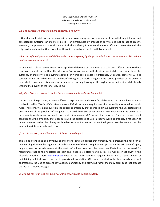### *Did God deliberately create pain and suffering, if so, why?*

If God does not exist, we can explain pain as an evolutionary survival mechanism from which physiological and psychological suffering can manifest, i.e. it is an unfortunate by-product of survival and not an act of cruelty. However, the presence of a God, aware of all the suffering in the world is more difficult to reconcile with the religious idea of a caring God, even if we throw in the ambiguity of freewill. For example:

### *What sort of intelligence would deliberately create a system, by design, in which one species needs to kill and eat another in order to survive?*

At one level, it almost seems easier to accept the indifference of the universe to pain and suffering because there is no cruel intent; rather than the idea of a God whose nature reflects either an inability to comprehend the suffering, an inability to do anything about it, or worse still, a callous indifference. Of course, some will wish to counter this negativity by citing all the beautiful things in the world along with the cosmic grandeur of the universe as a whole. However, this seems to be analogous to only looking at the skyline of a major city, while totally ignoring the poverty of the inner-city slums.

### *Why does God have so much trouble in communicating its wishes to humanity?*

On the basis of logic alone, it seems difficult to explain why an all-powerful, all-knowing God would have so much trouble in making '*his/her/its'* existence known, if God's wish and requirements for humanity was to follow certain rules. Therefore, we might question the apparent ambiguity that seems to always surround the unsubstantiated proclamation of the prophets of antiquity. You would think God either wants its existence within the universe to be unambiguously known or wants to remain *'incommunicado'* outside the universe. Therefore, some might conclude that the ambiguity that does surround the existence of God in today's world is probably a reflection of human delusion rather than being attributable to some introverted cosmic intelligence. Possibly we can put the implications into some alternative focus:

### *If God did not exist, would humanity still have created a god?*

This is not intended to be a frivolous sound-bite for it would appear that humanity has perceived the need for all manner of gods since the beginning of civilisation. One of the first requirements placed on the existence of a god, or gods, was to provide solace at the death of a loved one. Another need manifests itself in the need for reassurance that all the hopelessness, pain and injustice, so often found in this life, will be swept away in the after-life. Another, more *[Machiavellian](https://en.wikipedia.org/wiki/Machiavellianism)* need is the realisation that religious belief was a useful means of maintaining political power over an impoverished population. Of course, to start with, these needs were not addressed by the God of present-day Judaism, Christianity and Islam, but rather the many older gods that predate the idea of a monotheist god.

*So why did the 'real' God not simply establish its existence from the outset?*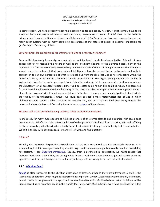In some respect, we have probably taken this discussion as far as needed. As such, it might simply have to be accepted that some people will always need the solace, reassurance or power of belief. Even so, this belief is primarily based on an emotional need and constitutes no proof of God's existence. However, because there are so many belief systems with so many conflicting descriptions of the nature of god(s), it becomes impossible for *'probability'* to favour any of them.

### *But what about the probability of the existence of a God as a rational intelligence?*

Because this has hardly been a rigorous analysis, any opinion has to be declared as subjective. This said, it does appear difficult to reconcile the nature of God as the intelligent designer of the universe based solely on the argument that *'the universe is here, so somebody had to have made it'* school of thought. However, the attempt to second guess the nature of God, as a rational intelligence, has also proved to be problematic, not only in comparison to our own perception of what is rational, but from the idea that God is not only active within the universe, at large, but within the daily lives of people on planet Earth. You might rightly point out that the line of logic adopted was far too anthropomorphic to be taken too seriously, but in many respects, this has always been the dichotomy for all accepted religions. Either God possesses some human-like qualities, which it is perceived forms a special bond between God and humanity or God is such an alien intelligence that it must appear too much of an abstract concept with little relevance or interest in the lives of mere mortals on an insignificant planet within the totality of the universe(s). However, we could have pursued a more metaphysical idea of God in which philosophers and scientists alike have tried to describe God, not as a separate intelligent entity outside the universe, but more in terms of God being the substance or *[logos](https://en.wikipedia.org/wiki/Logos)*, of the universe.

### *But does such a God provide humanity with any solace or any better answers?*

As indicated, for many, God appears to hold the promise of an eternal afterlife and a reunion with loved ones previously lost. Belief in God also offers the hope of redemption and absolution from past sins, pain and suffering for those basically good of heart, where finally the strife of human life disappears into the light of eternal salvation. While it is an idea with obvious appeal, we are still left with one final question:

### *Is it true?*

Probably not. However, despite my personal views, it has to be recognised that not everybody wants to, or is equipped to, look into an abyss created by scientific logic, which some may argue is also only based on probability, not certainty - see *[Quantum Perspective](http://www.mysearch.org.uk/website1/html/323.Quantum.html)*. Equally, from a psychological perspective, we might realise that *'believers'* will never know if they are wrong, while *'atheists'* will never know they are right. Of course, given the opposite is not true, belief may seem the safer bet, although not necessarily in the best interest of humanity.

### <span id="page-20-0"></span>**1.1.6** *[Life after Death](http://www.mysearch.org.uk/website2/html/252.Afterlife.html)*

*[Jannah](https://en.wikipedia.org/wiki/Jannah)* is often compared to the Christian description of Heaven, although there are differences. Jannah is the Islamic idea of paradise, which might be interpreted as simply the '*Garden*'. According to Islamic belief, after death, one will reside in the grave until the appointed resurrection, after which Muslims believe that an individual will be judged according to his or her deeds in the worldly life. In-line with Muslim belief, everything one longs for in this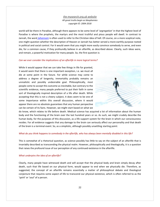world will be there in Paradise, although there appears to be some level of '*segregation*' in that the highest level of Paradise is where the prophets, the martyrs and the most truthful and pious people will dwell. In contrast to Jannah, the word *[Jahannam](https://en.wikipedia.org/wiki/Jahannam)* is often used to refer to the Christian idea of hell. Of course, on a more sceptical note, one might question whether the description of Heaven or Jannah has better served a more-earthly purpose rooted in political and social control. For it would seem that you might more easily convince somebody to serve, and even die, for a common cause, if they profoundly believe in an afterlife, as described above. Clearly, such ideas were, and remain, a powerful motivation for many people. So, the first question is:

### *Can we ever consider the implications of an afterlife in more logical terms?*

While it would appear that we can take few things in life for granted, it would seem that there is one important exception, i.e. we must all die at some point in the future. For while science may come to address a degree of longevity, immortality probably remains an unrealistic and possibly undesirable goal. Philosophically, most people come to accept this outcome as inevitable, but contrary to the scientific evidence, many people preferred to put their faith in some sort of theologically inspired description of a life after death. While accepting that this is not a cheery subject, it does seem to be one of some importance within this overall discussion, where it would appear there are no absolute guarantees that any human perspective can be certain of its facts. However, we might start based on what we



do know, which relates to life before death. Medical science has acquired a lot of information about the human body and the functioning of the brain over the last hundred years or so. As such, we might crudely describe the human body, for the purposes of this discussion, as a life support system for the brain in which our consciousness resides. For all evidence suggests that any damage to the brain can seriously affect our personality and that death of the brain is a terminal event. So, as a simplistic, although possibly unsettling starting point:

#### *What do you think happens to somebody in the afterlife, who has always been mentally disabled in this life?*

This is somewhat of a rhetorical question, as science possibly has little to say on the subject of an afterlife that is invariably described as transcending the physical realm. However, philosophically and theologically, it is a question that raises the profound issue of our perception of any continued existence in the afterlife.

#### *What underpins the idea of an afterlife?*

Clearly, many people have witnessed death and will accept that the physical body and brain simply decay after death, such that life based on our physical form, would appear to end when we physically die. Therefore, as suggested, the concept of an afterlife remains essentially a matter of philosophical debate and theological conjecture that requires some aspect of life to transcend our physical existence, which is often referred to as the '*spirit*' or '*soul'* of a person.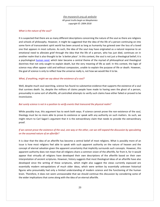### *What is the nature of the soul?*

It is suspected that there are as many different descriptions concerning the nature of the soul as there are religions and schools of philosophy. However, it might be suggested that the idea of the life of a person continuing on into some form of transcendent spirit world has been around as long as humanity has grieved over the loss of a loved one that appears in most cultures. As such, the idea of the soul may have originated as a natural response to an emotional need to alleviate grief through the idea that the life of a person, who has just died, continues on in another realm that is also thought to be *'a better place'*. In this context, the soul is not just a theological belief; it is a psychological *[human need](http://www.mysearch.org.uk/website1/html/8.Evolution.html#Maslow)*, which later became a central theme of the myriad of philosophical and theological doctrines that not only sought to explain death, but the very meaning of life as well. In this context, the logic of science may often appear cold and without compassion, unable to explain the purpose of life or death. However, the goal of science is only to reflect how the universe really is, not how we would like it to be.

### *What, if anything, might we say about the existence of a soul?*

Well, despite much soul-searching, science has found no substantive evidence that supports the existence of a soul that survives death. So, despite the millions of claims people have made to having seen the ghost of a person, presumably in some sort of afterlife, all controlled attempts to verify such claims have either failed or proved to be inconclusive.

### *But surely science is not in a position to verify events that transcend the physical realm?*

While possibly true, this argument has to work both ways. If science cannot prove the non-existence of the soul, theology must be no more able to prove its existence or speak with any authority on such matters. As such, we might return to Carl Sagan's argument that it is the extraordinary claim that needs to provide the extraordinary proof.

### *If we cannot prove the existence of the soul, one way or the other, can we still expand the discussion by speculating on the assumed nature of an afterlife?*

It is clear that the idea of an afterlife has become a central belief of most religions. What is possibly more of an issue is how most religions feel able to speak with such apparent authority on the nature of heaven and the concept of eternal salvation given the apparent uncertainty that implicitly surrounds such concepts. However, this apparent authority does not mean that all religions share a common vision of the afterlife, far from it, for it would appear that virtually all religions have developed their own descriptions of the afterlife based on their own interpretation of ancient scriptures. However, history suggests that most theological ideas of an afterlife have also developed since the writing of these scriptures, which might also suggest the views currently espoused are essentially modern extrapolations of much older ideas, which were written by essentially unknown historical figures who presumably had only a limited understanding of modern science and the functioning of the human brain. Therefore, it does not seem unreasonable that we should continue this discussion by considering some of the wider implications that come along with the idea of an eternal afterlife.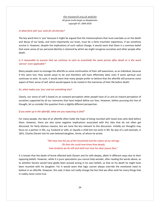### *In what form will 'you' exist for all eternity?*

The key word here is '*you'* because it might be argued that the metamorphosis that must overtake us on the death and decay of our body, and more importantly our brain, must be a fairly traumatic experience, if we somehow survive it. However, despite the implications of such radical change, it would seem that there is a common belief that some sense of our personal identity is retained by which we might recognise ourselves and other people after death.

*Is it reasonable to assume that we continue to exist as essentially the same person after death or is the word 'person' even applicable?* 

Many people seem to envisage the afterlife as some continuation of their self-awareness, as an individual, because if this were lost, they would cease to be and therefore will have effectively died, even if some spiritual soul continues to exist. As such, it would seem that many people prefer to believe that the afterlife will preserve some aspect of their sense of self, which would appear to be rooted in the memories of their life before death:

#### *So, what makes you 'you' and not something else?*

Clearly, our sense of self is based on an outward perception other people have of us and an inward perception of ourselves supported by all our memories that have helped define our lives. However, before pursuing this line of thought, let us consider this question from a slightly different perspective:

### *If you woke up in the afterlife, what are you expecting to find?*

For many people, the idea of an afterlife often holds the hope of being reunited with loved ones who died before them. However, there are also some negative implications associated with this idea that do not often get discussed, for fairly obvious reasons, but are none the less relevant to this discussion. Initially our thoughts may focus on a partner in life, e.g. husband or wife, or equally a child lost too early in life. By way of a sad example, in 1851, Charles Darwin lost his own beloved daughter, Annie, of whom he wrote:

> *"We have lost the joy of the household and the solace of our old age. Oh that she could now know how deeply, how tenderly we do still and shall ever love her dear joyous face."*

It is known that the death of Annie affected both Darwin and his wife deeply, albeit in different ways due to their opposing beliefs. However, while it is pure speculation you cannot help wonder, after reading the words above, as to whether Darwin would have gladly been proved wrong in his own beliefs, so that on his death he might have been reunited with his daughter. For it would seem that logic cannot always override the emotional need to believe in an afterlife. However, this said, it does not really change the fact that we often wish for many things that in reality never come true.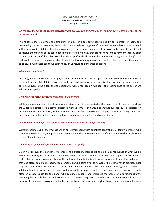*Where does the list of the people associated with our lives end and are they all locked in time, waiting for us, as we remember them?* 

At one level, there is simply the ambiguity of a person's age being constrained by our memory of them, and presumably they of us. However, there is also the more distressing idea of a mother's sincere desire to be reunited with a baby lost in childbirth. It is distressing, not just because of the nature of the loss, but because it is so difficult to resolve the meaning of the continuance of an afterlife of a baby that did not have time to form any identity prior to death. Of course, if the baby's soul does develop after death, would the mother still recognise her baby's soul and would the soul of the grown baby still want the love of an aged mother to which it had never had the chance to bond. So, with these sad thoughts in mind, let us return to our earlier question:

### *What makes you 'you'?*

Certainly, within the context of our physical life, our identity as a person appears to be linked to both our physical form and our mental abilities. However, with this said, we must also recognise that we undergo much change during our lives, to the extent that the person we were once, aged 7, will bear little resemblance to the person we will become, aged 70.

### *Is it possible to retain our sense of identity in the afterlife?*

While some vague notion of an incorporeal existence might be suggested at this point, it hardly seems to address the wider implications of an eternal existence without form. For it would seem that our identity is predicated on our human form and this form, for better or worse, has defined the scope of the physical senses through which we have experienced life and has helped underpin our memories, our likes and our prejudices.

### *Can we really even begin to imagine an existence without form lasting for eternity?*

Without spelling out all the implications of an eternity spent with countless generations of family members who you may have never met, and possibly had no particular desire to meet, even in life, we come to what might seem to be a flippant question:

### *What are you going to do for the rest of eternity in the afterlife?*

OK, if we skip over the mundane inference of this question, there is still the logical consequence of what we do within the eternity of an afterlife. Of course, before we even attempt to answer such a question, we need to realise that according to many religions, the nature of the afterlife is not just about our wishes, as it would appear that God places some fairly specific requirements on who gains entry to heaven or hell. However, in practice, most religions seem divided on the actual '*terms and conditions'* imposed by their beliefs, although most appear to subliminally allude to the need to have lived a '*good life'* as a prerequisite to entering heaven. However, there is often an escape clause for the sinner who genuinely repents and embraces the beliefs of a particular church, assuming that it really has the endorsement of the '*one and only*' God. Therefore, on this point, we might wish to question how some theologians, schooled in the beliefs of a certain religion, have come to speak with such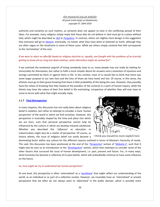authority and certainty on such matters, as certainty does not appear to exist in the conflicting spread of their ideas. For example, many religions simply imply that those who do not believe in God must go to a place without God, which might be described as *[Hell](https://en.wikipedia.org/wiki/Hell)* or *[Purgatory](https://en.wikipedia.org/wiki/Purgatory)*. In contrast, others are slightly more benign in the suggestion that everyone will go to *[Heaven](https://en.wikipedia.org/wiki/Heaven)*, eventually, no matter what they have done or believed on Earth, although they are often vague on the timeframe in some of these cases. While yet others simply contend that Hell corresponds to the '*termination*' of the soul.

*If we were to reject an afterlife based on religious doctrine or, equally, one fraught with the problems of an eternity getting to know all our long-lost dead relatives, what alternative might we wished for?*

If we overlook the emotional anguish of losing somebody close to us, many people may not really be looking for immortality for themselves, but rather to fulfil a much simpler desire for answers and a resolution of injustices and wrongs committed by them or against them in life. In this context, most of us would like to think that there was some larger purpose to our own lives and the lives of those we have loved and lost. Of course, in this sense, the atheists must go to their grave knowing that there is little probability of this being the case. However, they possibly have the solace of knowing that they looked at the wonders of the universe in a spirit of honest inquiry, while the theists may have the solace of their firm belief in life everlasting, irrespective of whether they will ever have to come to terms with what that might actually imply.

### <span id="page-25-0"></span>**1.1.7** *Final [Retrospective](http://www.mysearch.org.uk/website2/html/253.Retrospect.html)*

In many respects, this discussion has not really been about religious belief in isolation, but rather an attempt to consider a more '*human perspective'* of the world in which we find ourselves. However, this perspective is invariably shaped by the time and place into which we are born, such that personal perspective cannot help be influenced by the culture in which we develop towards adulthood. Whether you described this '*influence*' as education or indoctrination might also be a matter of perspective. Of course, as history attests, the issue of religious belief can easily become a



I think you should be more explicit here

dominating factor within any culture for the different reasons outlined in terms of Maslow's hierarchy of needs. This said, this discussion has been positioned at the end of the '*[Perspective](http://www.mysearch.org.uk/website2/html/2.Perspective.html)*' section of '*[Website-](http://www.mysearch.org.uk/website2/html/1.Home.html)2'*, such that it might also be seen as an introduction to the '*[Development](http://www.mysearch.org.uk/website2/html/7.Developments.html)*' section, which then attempts to consider some of the other factors that surround the issue of human development, i.e. past, present and future. For, in many ways, what humanity has become is reflective of its past beliefs, which will undoubtedly continue to have some influence on the future.

### *So, how might we try to understand the human perspective?*

At one level, this perspective is often *'externalised'* as a '*[worldview](http://www.mysearch.org.uk/website1/html/5.Worldviews.html)*' that might reflect our understanding of the world, as an individual or as part of a collective society. However, we invariably have an '*internalised*' or private perspective that we often do not always want to *'advertised'* in the public domain, which is possibly more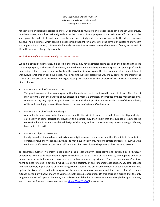reflective of our personal experience of life. Of course, while much of our life experience can be taken up relatively mundane issues, we still occasionally reflect on the more profound purpose of our existence. Of course, as the years pass, the cycle of life and death may become increasingly real to us as we face up to the idea of our own eventual non-existence, which can be a disconcerting thought for many. While the term '*non-existence'* may seem a strange choice of words, it is used deliberately because it may better convey the potential finality at the end of life in the absence of any religious belief.

### *But is the idea of non-existence really the central concern?*

While it is difficult to generalise, it is possible that many may have a simpler desire based on the hope that their life has some purpose, as the idea of a universe, and the life within it, evolving without purpose can appear profoundly depressing. If there is an element of truth in this position, it may explain the development of so many different worldviews, anchored in religious belief, which has undoubtedly biased the way many prefer to understand the nature of their existence. However, we might attempt to characterise the purpose of existence in a number of different ways.

### 1. Purpose is a result of mechanical laws:

This position assumes that any purpose within the universe must result from the laws of physics. Therefore, it may also imply that the purpose of our existence is merely a transitory by-product of these mechanical laws. However, many may reject this position on the grounds that it provides no real explanation of the complexity of life and seemingly requires the universe to begin as an '*effect without a cause'*.

#### 2. Purpose is a result of intelligent design:

Alternatively, some may prefer the universe, and the life within it, to be the result of some intelligent design, e.g. a deity of some description. However, this position may then imply that the purpose of existence be constrained within some preordained design of this deity and, on the scale of any universal design, life may have limited freewill.

### 3. Purpose is subject to evolution:

Finally, based on the evidence that exists, we might assume the universe, and the life within it, is subject to constant evolutionary change. So, while life may have initially only had one simple purpose, i.e. survival, the evolution of life towards conscious self-awareness has also allowed the purpose of existence to evolve.

To generalise further, we might label option-1 as a '*non-believer'* perspective and option-2 as a '*believer*' perspective. While both these options aspire to explain the *'true'* nature of the universe, one appears devoid of human purpose, while the other requires a leap of faith unsupported by evidence. Therefore, an '*agnostic*' position might be best reflected in option-3, which rejects the certainty of any fundamentalist position, i.e. both believer and non-believer, in preference of an on-going examination of the observable evidence of evolution. Within this option, the issue of the ultimate purpose of the universe remains unknown and the issue of life after death extends beyond any known means to verify, i.e. both remain speculation. On this basis, it is argued that the only pragmatic option left open to humanity is to take responsibility for its own future, even though this approach may lead to many unforeseen consequences – see '*[Brave New Worlds'](http://www.mysearch.org.uk/website2/html/146.NuWorlds.html)* for examples.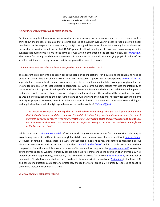### *How as the human perspective of reality changed?*

Putting aside any belief in a transcendent reality, few of us now grow our own food and most of us prefer not to think about the millions of animals that are bred and led to slaughter ever year in order to feed a growing global population. In this respect, and many others, it might be argued that most of humanity already has an abstracted perspective of reality, based on the last 10,000 years of cultural development. However, evolutionary genetics suggests that humanity is still much the same as it was when it embarked on the process we now call *'[civilisation](https://en.wikipedia.org/wiki/Civilization)'*. The reason for raising the dichotomy between this abstracted reality and the underlying physical reality of the world is that it leads to a key question that future generations need to consider:

### *Is it important that the collective human perspective remain anchored in truth?*

The apparent simplicity of this question belies the scope of its implications; for it questions the continuing need to believe in things that the physical world does not necessarily support. For a retrospective *[review of history](http://www.mysearch.org.uk/website1/html/10.History.html)* suggests that essentially all human worldviews have been based on earlier false assumptions given that all knowledge is fallible or, at least, subject to correction. So, while some fundamentalists may cite the infallibility of the word of God in support of their specific worldview, history, science and the human condition would appear to cast serious doubts on such claims. However, this position does not reject the need for all belief systems, for to do so would be to misunderstand the underlying nature of humanity and the emotional necessity for some to believe in a higher purpose. However, there is an inherent danger in belief that disconnects humanity from both logical and physical evidence, which might again be expressed in the words of *[William Clifford](http://www.mysearch.org.uk/website1/html/34.Clifford.html)*.

*"The danger to society is not merely that it should believe wrong things, though that is great enough; but that it should become credulous, and lose the habit of testing things and inquiring into them, for then it must sink back into savagery. It may matter little to me, in my cloud-castle of sweet illusions and darling lies; but it matters much to Man that I have made my neighbours ready to deceive. The credulous man is father to the liar and the cheat."* 

While the various *[socio-political models](http://www.mysearch.org.uk/website2/html/100.State.html)* of today's world may continue to survive for some considerable time, in evolutionary terms, it is difficult to see how global stability can be maintained long-term without *[radical change](http://www.mysearch.org.uk/website2/html/185.Catalysts.html)*. Of course, if nothing is done, there is always another global model that may still return to transcend all our abstracted worldviews and institutions. It is called '*[survival of the fittest](https://en.wikipedia.org/wiki/Survival_of_the_fittest)'* and it is both brutal and without compassion. None the less, it is known to be very effective in addressing excessive *[population growth](http://www.mysearch.org.uk/website2/html/8.Population.html)* across the entire animal kingdom. Whether humanity can claim to have fully transcended the definition of an animal may well depend on what responsibility, and action, it is prepared to accept for its own *[future evolution](http://www.mysearch.org.uk/website2/html/106.Humanity.html)*, i.e. natural or man-made. Clearly, based on what has been predicted elsewhere within this website, *[technology](http://www.mysearch.org.uk/website2/html/186.Technology.html)* in the form of AI and genetic modification could come to profoundly change the world, especially if humanity is forced to adapt to even more radical environmental change.

*So where is all this blasphemy leading?*